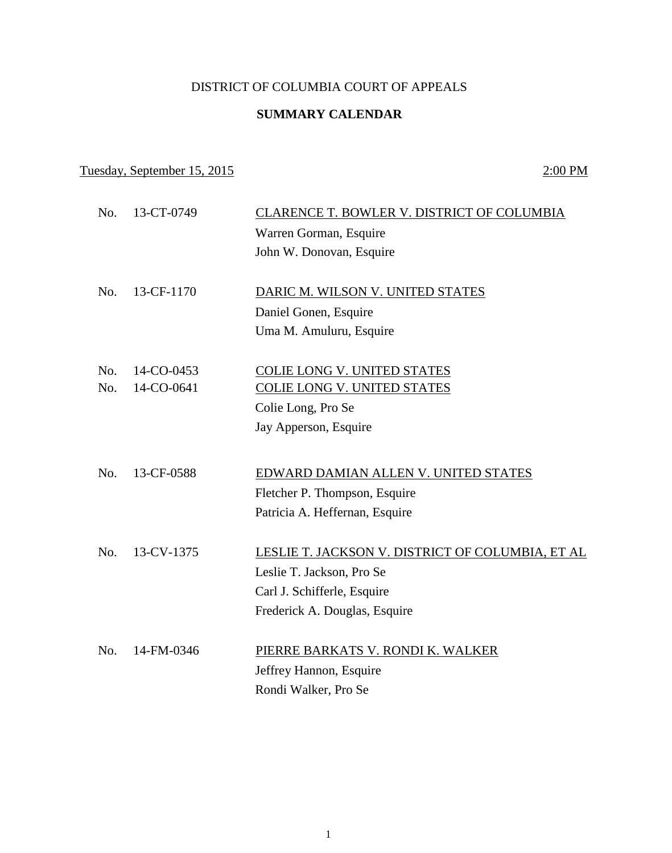## DISTRICT OF COLUMBIA COURT OF APPEALS

## **SUMMARY CALENDAR**

## Tuesday, September 15, 2015 2:00 PM

| No. | 13-CT-0749 | CLARENCE T. BOWLER V. DISTRICT OF COLUMBIA       |
|-----|------------|--------------------------------------------------|
|     |            | Warren Gorman, Esquire                           |
|     |            | John W. Donovan, Esquire                         |
|     |            |                                                  |
| No. | 13-CF-1170 | DARIC M. WILSON V. UNITED STATES                 |
|     |            | Daniel Gonen, Esquire                            |
|     |            | Uma M. Amuluru, Esquire                          |
|     |            |                                                  |
| No. | 14-CO-0453 | COLIE LONG V. UNITED STATES                      |
| No. | 14-CO-0641 | <b>COLIE LONG V. UNITED STATES</b>               |
|     |            | Colie Long, Pro Se                               |
|     |            | Jay Apperson, Esquire                            |
|     |            |                                                  |
| No. | 13-CF-0588 | EDWARD DAMIAN ALLEN V. UNITED STATES             |
|     |            | Fletcher P. Thompson, Esquire                    |
|     |            | Patricia A. Heffernan, Esquire                   |
|     |            |                                                  |
| No. | 13-CV-1375 | LESLIE T. JACKSON V. DISTRICT OF COLUMBIA, ET AL |
|     |            | Leslie T. Jackson, Pro Se                        |
|     |            | Carl J. Schifferle, Esquire                      |
|     |            | Frederick A. Douglas, Esquire                    |
|     |            |                                                  |
| No. | 14-FM-0346 | PIERRE BARKATS V. RONDI K. WALKER                |
|     |            | Jeffrey Hannon, Esquire                          |
|     |            | Rondi Walker, Pro Se                             |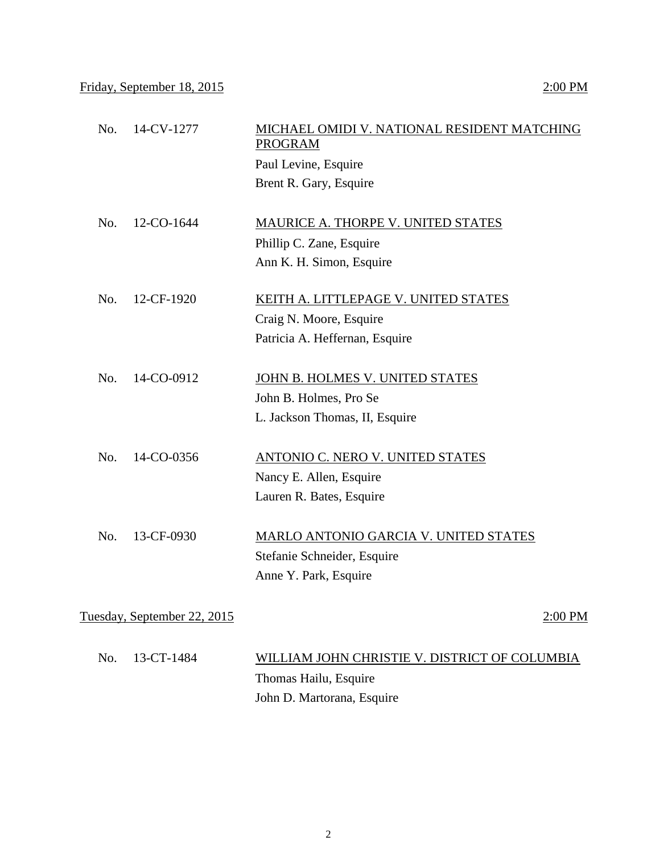| 14-CV-1277<br>No.           | MICHAEL OMIDI V. NATIONAL RESIDENT MATCHING<br><b>PROGRAM</b> |         |
|-----------------------------|---------------------------------------------------------------|---------|
|                             | Paul Levine, Esquire                                          |         |
|                             | Brent R. Gary, Esquire                                        |         |
|                             |                                                               |         |
| No.<br>12-CO-1644           | MAURICE A. THORPE V. UNITED STATES                            |         |
|                             | Phillip C. Zane, Esquire                                      |         |
|                             | Ann K. H. Simon, Esquire                                      |         |
| No.<br>12-CF-1920           | KEITH A. LITTLEPAGE V. UNITED STATES                          |         |
|                             | Craig N. Moore, Esquire                                       |         |
|                             | Patricia A. Heffernan, Esquire                                |         |
| 14-CO-0912<br>No.           | JOHN B. HOLMES V. UNITED STATES                               |         |
|                             | John B. Holmes, Pro Se                                        |         |
|                             | L. Jackson Thomas, II, Esquire                                |         |
|                             |                                                               |         |
| No.<br>14-CO-0356           | ANTONIO C. NERO V. UNITED STATES                              |         |
|                             | Nancy E. Allen, Esquire                                       |         |
|                             | Lauren R. Bates, Esquire                                      |         |
| 13-CF-0930<br>No.           | MARLO ANTONIO GARCIA V. UNITED STATES                         |         |
|                             |                                                               |         |
|                             | Stefanie Schneider, Esquire                                   |         |
|                             | Anne Y. Park, Esquire                                         |         |
| Tuesday, September 22, 2015 |                                                               | 2:00 PM |

| No. 13-CT-1484 | WILLIAM JOHN CHRISTIE V. DISTRICT OF COLUMBIA |
|----------------|-----------------------------------------------|
|                | Thomas Hailu, Esquire                         |
|                | John D. Martorana, Esquire                    |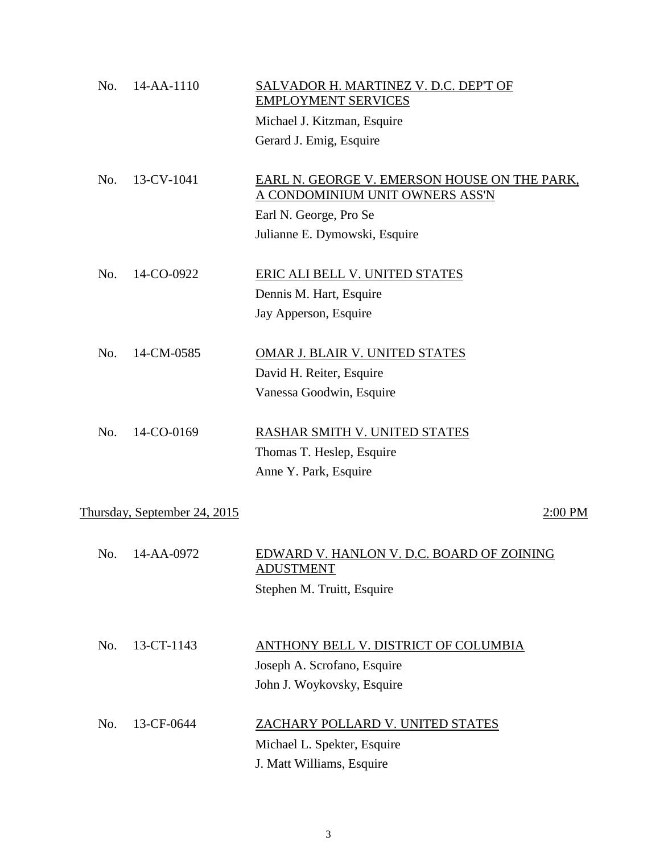| No. | 14-AA-1110                   | SALVADOR H. MARTINEZ V. D.C. DEP'T OF<br><b>EMPLOYMENT SERVICES</b><br>Michael J. Kitzman, Esquire |         |
|-----|------------------------------|----------------------------------------------------------------------------------------------------|---------|
|     |                              | Gerard J. Emig, Esquire                                                                            |         |
| No. | 13-CV-1041                   | EARL N. GEORGE V. EMERSON HOUSE ON THE PARK,<br>A CONDOMINIUM UNIT OWNERS ASS'N                    |         |
|     |                              | Earl N. George, Pro Se                                                                             |         |
|     |                              | Julianne E. Dymowski, Esquire                                                                      |         |
| No. | 14-CO-0922                   | <b>ERIC ALI BELL V. UNITED STATES</b>                                                              |         |
|     |                              | Dennis M. Hart, Esquire                                                                            |         |
|     |                              | Jay Apperson, Esquire                                                                              |         |
| No. | 14-CM-0585                   | OMAR J. BLAIR V. UNITED STATES                                                                     |         |
|     |                              | David H. Reiter, Esquire                                                                           |         |
|     |                              | Vanessa Goodwin, Esquire                                                                           |         |
| No. | 14-CO-0169                   | RASHAR SMITH V. UNITED STATES                                                                      |         |
|     |                              | Thomas T. Heslep, Esquire                                                                          |         |
|     |                              | Anne Y. Park, Esquire                                                                              |         |
|     | Thursday, September 24, 2015 |                                                                                                    | 2:00 PM |
|     |                              |                                                                                                    |         |
|     | No. 14-AA-0972               | <u>EDWARD V. HANLON V. D.C. BOARD OF ZOINING</u><br><b>ADUSTMENT</b>                               |         |
|     |                              | Stephen M. Truitt, Esquire                                                                         |         |
|     |                              |                                                                                                    |         |
| No. | 13-CT-1143                   | <b>ANTHONY BELL V. DISTRICT OF COLUMBIA</b>                                                        |         |
|     |                              | Joseph A. Scrofano, Esquire                                                                        |         |
|     |                              | John J. Woykovsky, Esquire                                                                         |         |
| No. | 13-CF-0644                   | ZACHARY POLLARD V. UNITED STATES                                                                   |         |
|     |                              | Michael L. Spekter, Esquire                                                                        |         |
|     |                              | J. Matt Williams, Esquire                                                                          |         |

3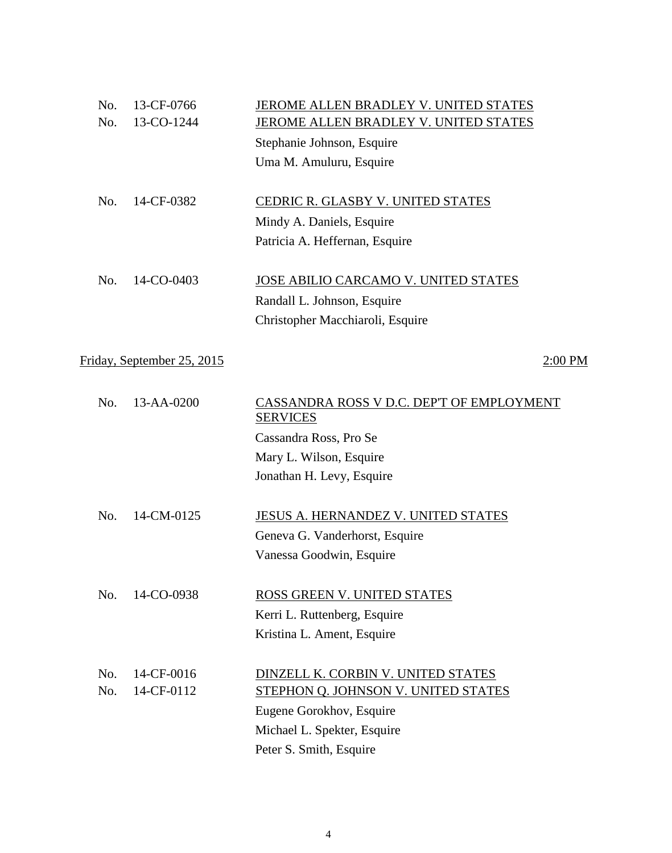| No. | 13-CF-0766                 | JEROME ALLEN BRADLEY V. UNITED STATES                        |
|-----|----------------------------|--------------------------------------------------------------|
| No. | 13-CO-1244                 | <b>JEROME ALLEN BRADLEY V. UNITED STATES</b>                 |
|     |                            | Stephanie Johnson, Esquire                                   |
|     |                            | Uma M. Amuluru, Esquire                                      |
| No. | 14-CF-0382                 | CEDRIC R. GLASBY V. UNITED STATES                            |
|     |                            | Mindy A. Daniels, Esquire                                    |
|     |                            | Patricia A. Heffernan, Esquire                               |
| No. | 14-CO-0403                 | JOSE ABILIO CARCAMO V. UNITED STATES                         |
|     |                            | Randall L. Johnson, Esquire                                  |
|     |                            | Christopher Macchiaroli, Esquire                             |
|     | Friday, September 25, 2015 | $2:00$ PM                                                    |
|     |                            |                                                              |
| No. | 13-AA-0200                 | CASSANDRA ROSS V D.C. DEP'T OF EMPLOYMENT<br><b>SERVICES</b> |
|     |                            | Cassandra Ross, Pro Se                                       |
|     |                            | Mary L. Wilson, Esquire                                      |
|     |                            | Jonathan H. Levy, Esquire                                    |
| No. | 14-CM-0125                 | <b>JESUS A. HERNANDEZ V. UNITED STATES</b>                   |
|     |                            | Geneva G. Vanderhorst, Esquire                               |
|     |                            | Vanessa Goodwin, Esquire                                     |
| No. | 14-CO-0938                 | ROSS GREEN V. UNITED STATES                                  |
|     |                            | Kerri L. Ruttenberg, Esquire                                 |
|     |                            | Kristina L. Ament, Esquire                                   |
| No. | 14-CF-0016                 | DINZELL K. CORBIN V. UNITED STATES                           |
| No. | 14-CF-0112                 | STEPHON Q. JOHNSON V. UNITED STATES                          |
|     |                            | Eugene Gorokhov, Esquire                                     |
|     |                            | Michael L. Spekter, Esquire                                  |
|     |                            | Peter S. Smith, Esquire                                      |
|     |                            |                                                              |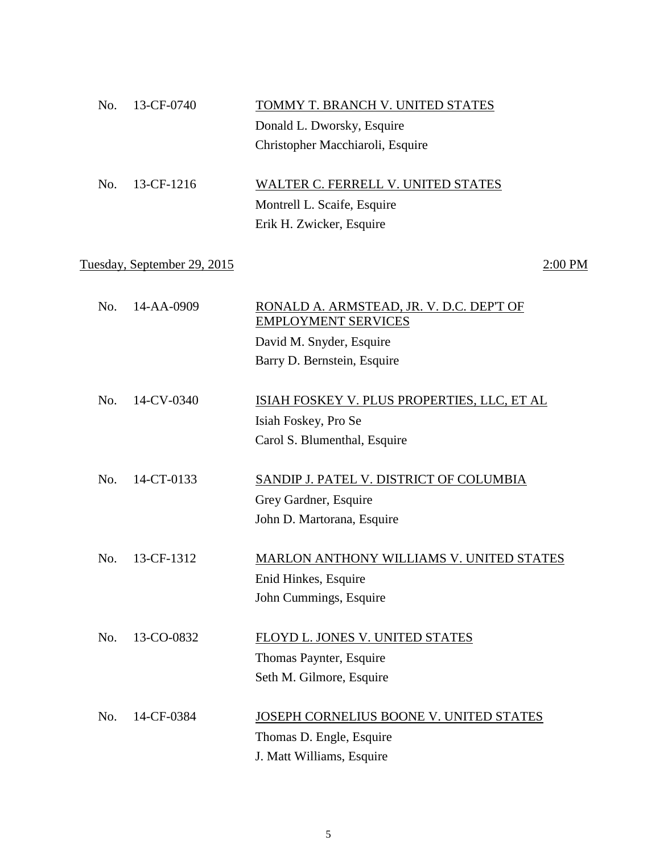| No. | 13-CF-0740                  | TOMMY T. BRANCH V. UNITED STATES                                       |
|-----|-----------------------------|------------------------------------------------------------------------|
|     |                             | Donald L. Dworsky, Esquire                                             |
|     |                             | Christopher Macchiaroli, Esquire                                       |
| No. | 13-CF-1216                  | WALTER C. FERRELL V. UNITED STATES                                     |
|     |                             | Montrell L. Scaife, Esquire                                            |
|     |                             | Erik H. Zwicker, Esquire                                               |
|     | Tuesday, September 29, 2015 | $2:00$ PM                                                              |
| No. | 14-AA-0909                  | RONALD A. ARMSTEAD, JR. V. D.C. DEP'T OF<br><b>EMPLOYMENT SERVICES</b> |
|     |                             | David M. Snyder, Esquire                                               |
|     |                             | Barry D. Bernstein, Esquire                                            |
| No. | 14-CV-0340                  | ISIAH FOSKEY V. PLUS PROPERTIES, LLC, ET AL                            |
|     |                             | Isiah Foskey, Pro Se                                                   |
|     |                             | Carol S. Blumenthal, Esquire                                           |
| No. | 14-CT-0133                  | SANDIP J. PATEL V. DISTRICT OF COLUMBIA                                |
|     |                             | Grey Gardner, Esquire                                                  |
|     |                             | John D. Martorana, Esquire                                             |
| No. | 13-CF-1312                  | MARLON ANTHONY WILLIAMS V. UNITED STATES                               |
|     |                             | Enid Hinkes, Esquire                                                   |
|     |                             | John Cummings, Esquire                                                 |
| No. | 13-CO-0832                  | FLOYD L. JONES V. UNITED STATES                                        |
|     |                             | Thomas Paynter, Esquire                                                |
|     |                             | Seth M. Gilmore, Esquire                                               |
| No. | 14-CF-0384                  | JOSEPH CORNELIUS BOONE V. UNITED STATES                                |
|     |                             | Thomas D. Engle, Esquire                                               |
|     |                             | J. Matt Williams, Esquire                                              |